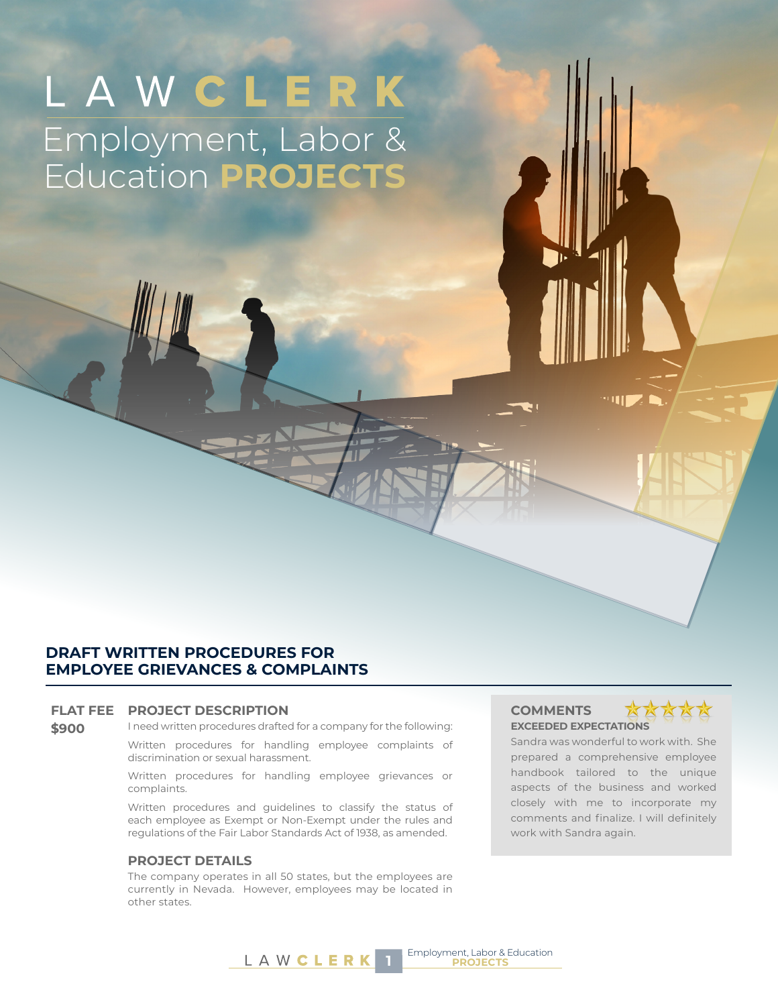# LAWCLERK Employment, Labor & Education **PROJECTS**

### **DRAFT WRITTEN PROCEDURES FOR EMPLOYEE GRIEVANCES & COMPLAINTS**

### **FLAT FEE PROJECT DESCRIPTION COMMENTS**

**\$900** I need written procedures drafted for a company for the following:

Written procedures for handling employee complaints of discrimination or sexual harassment.

Written procedures for handling employee grievances or complaints.

Written procedures and guidelines to classify the status of each employee as Exempt or Non-Exempt under the rules and regulations of the Fair Labor Standards Act of 1938, as amended.

### **PROJECT DETAILS**

The company operates in all 50 states, but the employees are currently in Nevada. However, employees may be located in other states.

## **EXCEEDED EXPECTATIONS**



Sandra was wonderful to work with. She prepared a comprehensive employee handbook tailored to the unique aspects of the business and worked closely with me to incorporate my comments and finalize. I will definitely work with Sandra again.

**THE A**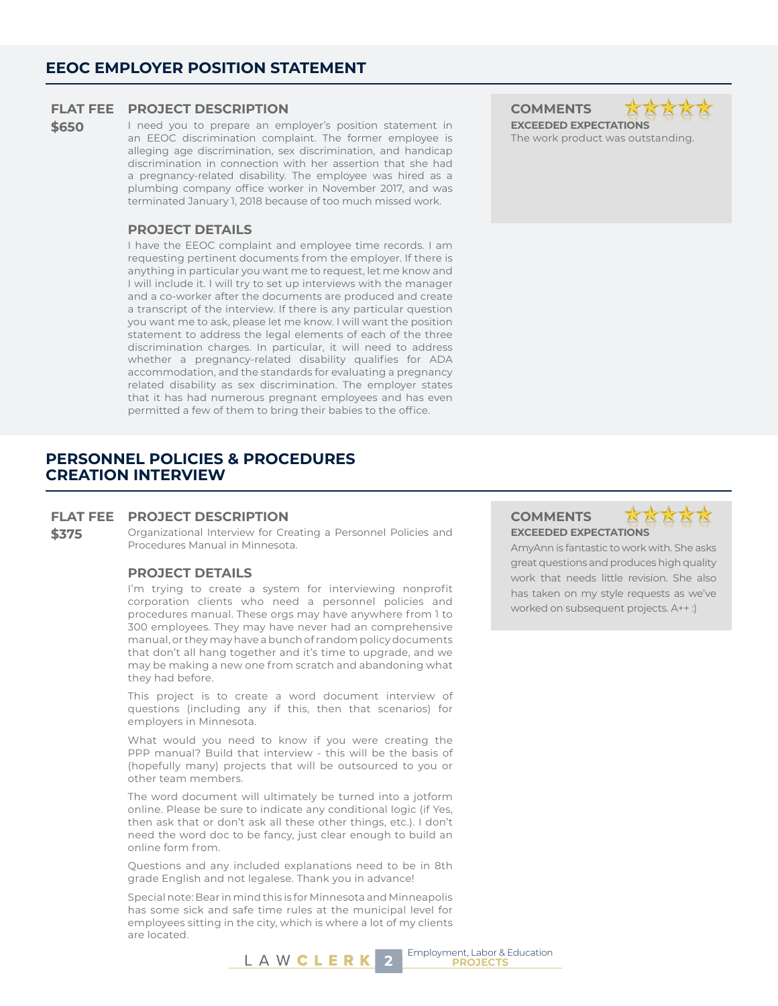### **FLAT FEE PROJECT DESCRIPTION COMMENTS**

**\$650** I need you to prepare an employer's position statement in an EEOC discrimination complaint. The former employee is alleging age discrimination, sex discrimination, and handicap discrimination in connection with her assertion that she had a pregnancy-related disability. The employee was hired as a plumbing company office worker in November 2017, and was terminated January 1, 2018 because of too much missed work.

### **PROJECT DETAILS**

I have the EEOC complaint and employee time records. I am requesting pertinent documents from the employer. If there is anything in particular you want me to request, let me know and I will include it. I will try to set up interviews with the manager and a co-worker after the documents are produced and create a transcript of the interview. If there is any particular question you want me to ask, please let me know. I will want the position statement to address the legal elements of each of the three discrimination charges. In particular, it will need to address whether a pregnancy-related disability qualifies for ADA accommodation, and the standards for evaluating a pregnancy related disability as sex discrimination. The employer states that it has had numerous pregnant employees and has even permitted a few of them to bring their babies to the office.

### **PERSONNEL POLICIES & PROCEDURES CREATION INTERVIEW**

### **FLAT FEE PROJECT DESCRIPTION COMMENTS**

**\$375** Organizational Interview for Creating a Personnel Policies and Procedures Manual in Minnesota.

### **PROJECT DETAILS**

I'm trying to create a system for interviewing nonprofit corporation clients who need a personnel policies and procedures manual. These orgs may have anywhere from 1 to 300 employees. They may have never had an comprehensive manual, or they may have a bunch of random policy documents that don't all hang together and it's time to upgrade, and we may be making a new one from scratch and abandoning what they had before.

This project is to create a word document interview of questions (including any if this, then that scenarios) for employers in Minnesota.

What would you need to know if you were creating the PPP manual? Build that interview - this will be the basis of (hopefully many) projects that will be outsourced to you or other team members.

The word document will ultimately be turned into a jotform online. Please be sure to indicate any conditional logic (if Yes, then ask that or don't ask all these other things, etc.). I don't need the word doc to be fancy, just clear enough to build an online form from.

Questions and any included explanations need to be in 8th grade English and not legalese. Thank you in advance!

Special note: Bear in mind this is for Minnesota and Minneapolis has some sick and safe time rules at the municipal level for employees sitting in the city, which is where a lot of my clients are located.

### **EXCEEDED EXPECTATIONS**

AmyAnn is fantastic to work with. She asks great questions and produces high quality work that needs little revision. She also has taken on my style requests as we've worked on subsequent projects. A++ :)

**EXCEEDED EXPECTATIONS** The work product was outstanding.

XX

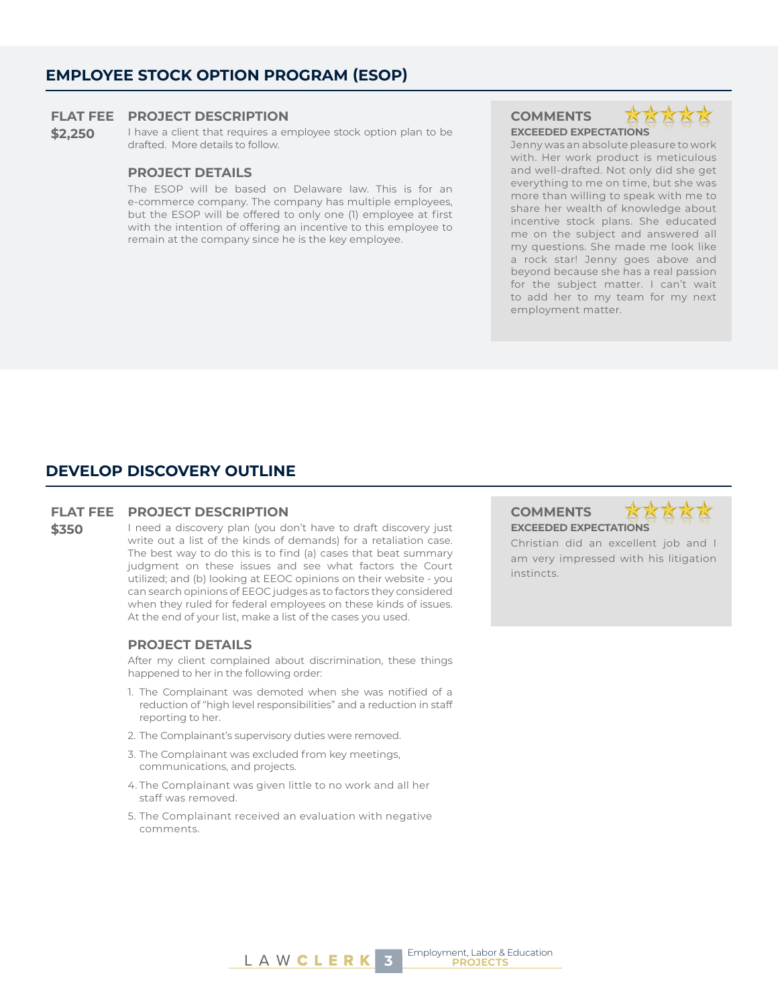### **EMPLOYEE STOCK OPTION PROGRAM (ESOP)**

#### **FLAT FEE PROJECT DESCRIPTION COMMENTS**

\$2,250 I have a client that requires a employee stock option plan to be drafted. More details to follow.

### **PROJECT DETAILS**

The ESOP will be based on Delaware law. This is for an e-commerce company. The company has multiple employees, but the ESOP will be offered to only one (1) employee at first with the intention of offering an incentive to this employee to remain at the company since he is the key employee.

**EXCEEDED EXPECTATIONS**



Jenny was an absolute pleasure to work with. Her work product is meticulous and well-drafted. Not only did she get everything to me on time, but she was more than willing to speak with me to share her wealth of knowledge about incentive stock plans. She educated me on the subject and answered all my questions. She made me look like a rock star! Jenny goes above and beyond because she has a real passion for the subject matter. I can't wait to add her to my team for my next employment matter.

### **DEVELOP DISCOVERY OUTLINE**

### **FLAT FEE PROJECT DESCRIPTION COMMENTS**

**\$350** I need a discovery plan (you don't have to draft discovery just write out a list of the kinds of demands) for a retaliation case. The best way to do this is to find (a) cases that beat summary judgment on these issues and see what factors the Court utilized; and (b) looking at EEOC opinions on their website - you can search opinions of EEOC judges as to factors they considered when they ruled for federal employees on these kinds of issues. At the end of your list, make a list of the cases you used.

### **PROJECT DETAILS**

After my client complained about discrimination, these things happened to her in the following order:

- 1. The Complainant was demoted when she was notified of a reduction of "high level responsibilities" and a reduction in staff reporting to her.
- 2. The Complainant's supervisory duties were removed.
- 3. The Complainant was excluded from key meetings, communications, and projects.
- 4. The Complainant was given little to no work and all her staff was removed.
- 5. The Complainant received an evaluation with negative comments.

## **EXCEEDED EXPECTATIONS**



Christian did an excellent job and I am very impressed with his litigation instincts.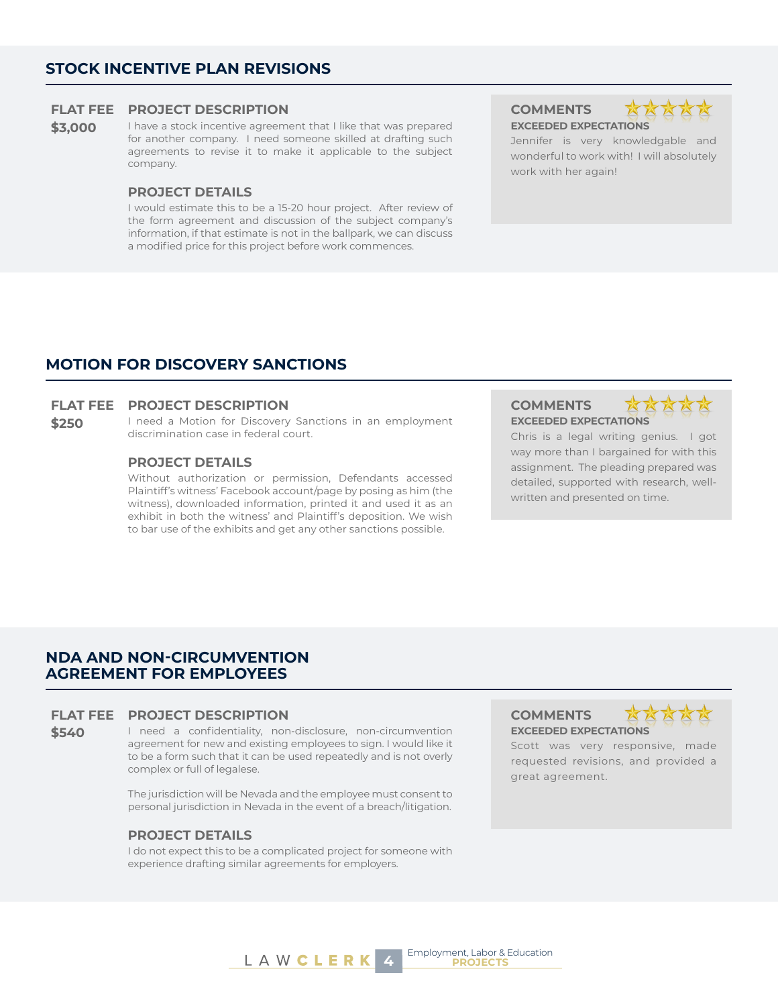### **STOCK INCENTIVE PLAN REVISIONS**

### **FLAT FEE PROJECT DESCRIPTION COMMENTS**

**\$3,000** I have a stock incentive agreement that I like that was prepared for another company. I need someone skilled at drafting such agreements to revise it to make it applicable to the subject company.

### **PROJECT DETAILS**

I would estimate this to be a 15-20 hour project. After review of the form agreement and discussion of the subject company's information, if that estimate is not in the ballpark, we can discuss a modified price for this project before work commences.

**EXCEEDED EXPECTATIONS**



Jennifer is very knowledgable and wonderful to work with! I will absolutely work with her again!

### **MOTION FOR DISCOVERY SANCTIONS**

### **FLAT FEE PROJECT DESCRIPTION COMMENTS**

\$250 I need a Motion for Discovery Sanctions in an employment discrimination case in federal court.

### **PROJECT DETAILS**

Without authorization or permission, Defendants accessed Plaintiff's witness' Facebook account/page by posing as him (the witness), downloaded information, printed it and used it as an exhibit in both the witness' and Plaintiff's deposition. We wish to bar use of the exhibits and get any other sanctions possible.

## **EXCEEDED EXPECTATIONS**



Chris is a legal writing genius. I got way more than I bargained for with this assignment. The pleading prepared was detailed, supported with research, wellwritten and presented on time.

### **NDA AND NON-CIRCUMVENTION AGREEMENT FOR EMPLOYEES**

### **FLAT FEE PROJECT DESCRIPTION COMMENTS**

**\$540** I need a confidentiality, non-disclosure, non-circumvention agreement for new and existing employees to sign. I would like it to be a form such that it can be used repeatedly and is not overly complex or full of legalese.

> The jurisdiction will be Nevada and the employee must consent to personal jurisdiction in Nevada in the event of a breach/litigation.

### **PROJECT DETAILS**

I do not expect this to be a complicated project for someone with experience drafting similar agreements for employers.

**EXCEEDED EXPECTATIONS**



Scott was very responsive, made requested revisions, and provided a great agreement.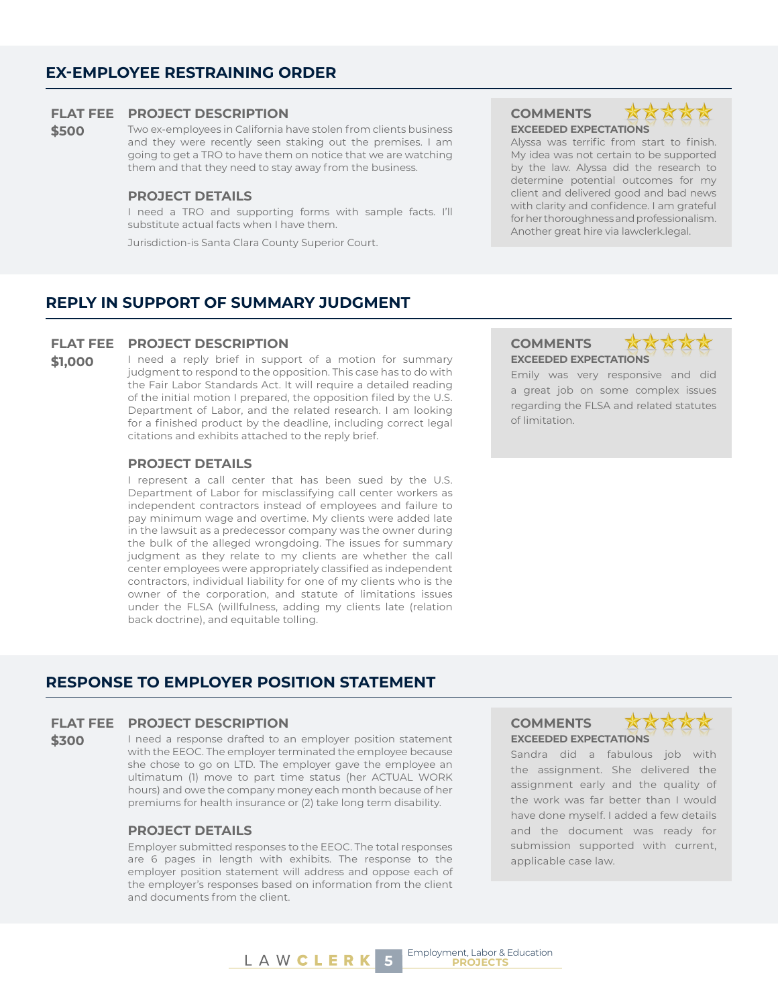### **EX-EMPLOYEE RESTRAINING ORDER**

### **FLAT FEE PROJECT DESCRIPTION COMMENTS**

**\$500** Two ex-employees in California have stolen from clients business and they were recently seen staking out the premises. I am going to get a TRO to have them on notice that we are watching them and that they need to stay away from the business.

### **PROJECT DETAILS**

I need a TRO and supporting forms with sample facts. I'll substitute actual facts when I have them.

Jurisdiction-is Santa Clara County Superior Court.

### **EXCEEDED EXPECTATIONS**



Alyssa was terrific from start to finish. My idea was not certain to be supported by the law. Alyssa did the research to determine potential outcomes for my client and delivered good and bad news with clarity and confidence. I am grateful for her thoroughness and professionalism. Another great hire via lawclerk.legal.

### **REPLY IN SUPPORT OF SUMMARY JUDGMENT**

### **FLAT FEE PROJECT DESCRIPTION COMMENTS**

**\$1,000** I need a reply brief in support of a motion for summary judgment to respond to the opposition. This case has to do with the Fair Labor Standards Act. It will require a detailed reading of the initial motion I prepared, the opposition filed by the U.S. Department of Labor, and the related research. I am looking for a finished product by the deadline, including correct legal citations and exhibits attached to the reply brief.

### **PROJECT DETAILS**

I represent a call center that has been sued by the U.S. Department of Labor for misclassifying call center workers as independent contractors instead of employees and failure to pay minimum wage and overtime. My clients were added late in the lawsuit as a predecessor company was the owner during the bulk of the alleged wrongdoing. The issues for summary judgment as they relate to my clients are whether the call center employees were appropriately classified as independent contractors, individual liability for one of my clients who is the owner of the corporation, and statute of limitations issues under the FLSA (willfulness, adding my clients late (relation back doctrine), and equitable tolling.

## **EXCEEDED EXPECTATIONS**



Emily was very responsive and did a great job on some complex issues regarding the FLSA and related statutes of limitation.

### **RESPONSE TO EMPLOYER POSITION STATEMENT**

### **FLAT FEE PROJECT DESCRIPTION COMMENTS**

#### \$300 I need a response drafted to an employer position statement with the EEOC. The employer terminated the employee because she chose to go on LTD. The employer gave the employee an ultimatum (1) move to part time status (her ACTUAL WORK hours) and owe the company money each month because of her premiums for health insurance or (2) take long term disability.

### **PROJECT DETAILS**

Employer submitted responses to the EEOC. The total responses are 6 pages in length with exhibits. The response to the employer position statement will address and oppose each of the employer's responses based on information from the client and documents from the client.

## **EXCEEDED EXPECTATIONS**



Sandra did a fabulous job with the assignment. She delivered the assignment early and the quality of the work was far better than I would have done myself. I added a few details and the document was ready for submission supported with current, applicable case law.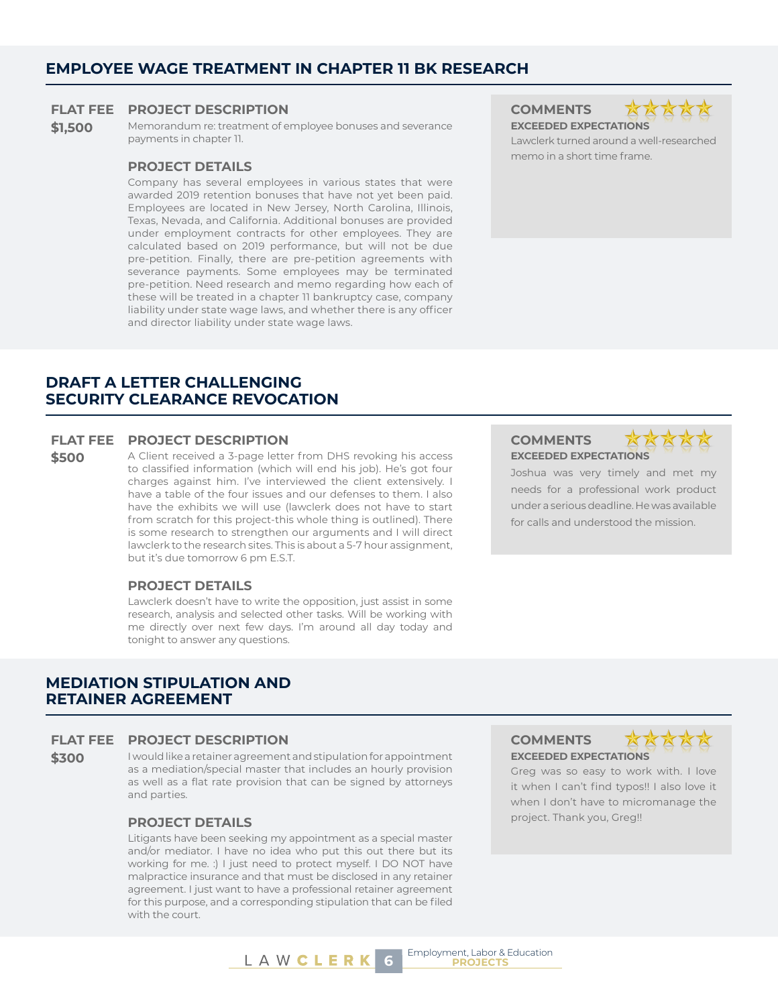### **EMPLOYEE WAGE TREATMENT IN CHAPTER 11 BK RESEARCH**

### **FLAT FEE PROJECT DESCRIPTION COMMENTS**

**\$1,500** Memorandum re: treatment of employee bonuses and severance payments in chapter 11.

### **PROJECT DETAILS**

Company has several employees in various states that were awarded 2019 retention bonuses that have not yet been paid. Employees are located in New Jersey, North Carolina, Illinois, Texas, Nevada, and California. Additional bonuses are provided under employment contracts for other employees. They are calculated based on 2019 performance, but will not be due pre-petition. Finally, there are pre-petition agreements with severance payments. Some employees may be terminated pre-petition. Need research and memo regarding how each of these will be treated in a chapter 11 bankruptcy case, company liability under state wage laws, and whether there is any officer and director liability under state wage laws.

### **DRAFT A LETTER CHALLENGING SECURITY CLEARANCE REVOCATION**

### **FLAT FEE PROJECT DESCRIPTION COMMENTS**

\$500 A Client received a 3-page letter from DHS revoking his access to classified information (which will end his job). He's got four charges against him. I've interviewed the client extensively. I have a table of the four issues and our defenses to them. I also have the exhibits we will use (lawclerk does not have to start from scratch for this project-this whole thing is outlined). There is some research to strengthen our arguments and I will direct lawclerk to the research sites. This is about a 5-7 hour assignment, but it's due tomorrow 6 pm E.S.T.

### **PROJECT DETAILS**

Lawclerk doesn't have to write the opposition, just assist in some research, analysis and selected other tasks. Will be working with me directly over next few days. I'm around all day today and tonight to answer any questions.

### **MEDIATION STIPULATION AND RETAINER AGREEMENT**

### **FLAT FEE PROJECT DESCRIPTION COMMENTS**

**\$300** I would like a retainer agreement and stipulation for appointment as a mediation/special master that includes an hourly provision as well as a flat rate provision that can be signed by attorneys and parties.

Litigants have been seeking my appointment as a special master and/or mediator. I have no idea who put this out there but its working for me. :) I just need to protect myself. I DO NOT have malpractice insurance and that must be disclosed in any retainer agreement. I just want to have a professional retainer agreement for this purpose, and a corresponding stipulation that can be filed with the court.



Lawclerk turned around a well-researched memo in a short time frame.

### **EXCEEDED EXPECTATIONS**



Joshua was very timely and met my needs for a professional work product under a serious deadline. He was available for calls and understood the mission.

**EXCEEDED EXPECTATIONS**



Greg was so easy to work with. I love it when I can't find typos!! I also love it when I don't have to micromanage the project. Thank you, Greg!! **PROJECT DETAILS**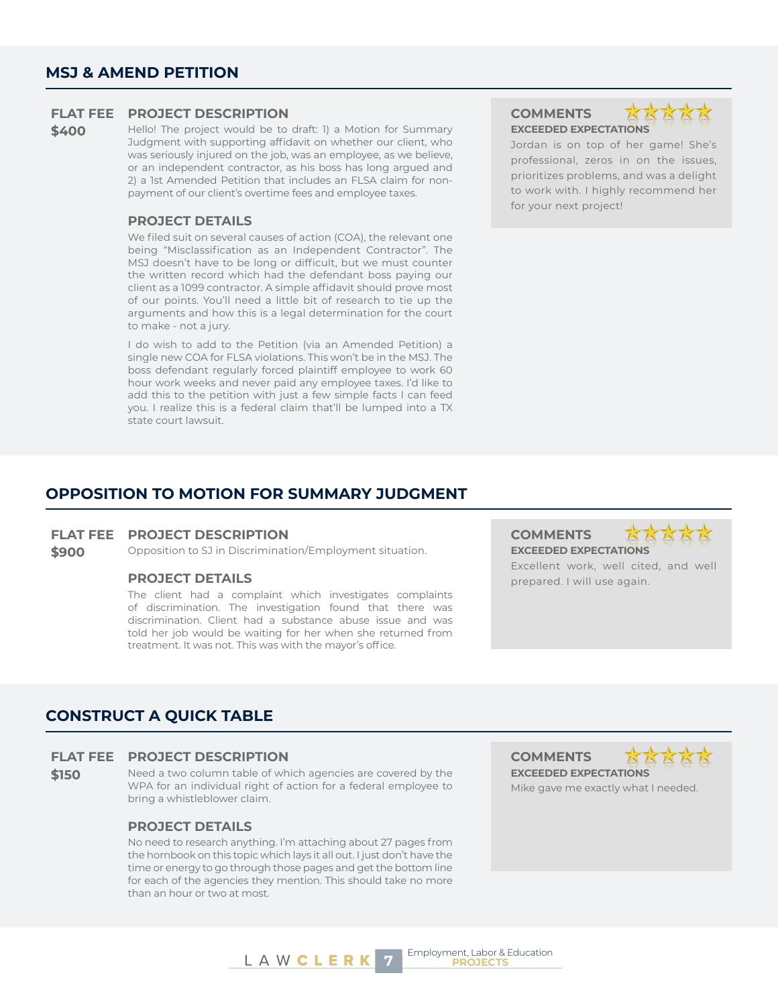### **FLAT FEE PROJECT DESCRIPTION COMMENTS**

**\$400** Hello! The project would be to draft: 1) a Motion for Summary Judgment with supporting affidavit on whether our client, who was seriously injured on the job, was an employee, as we believe, or an independent contractor, as his boss has long argued and 2) a 1st Amended Petition that includes an FLSA claim for nonpayment of our client's overtime fees and employee taxes.

### **PROJECT DETAILS**

We filed suit on several causes of action (COA), the relevant one being "Misclassification as an Independent Contractor". The MSJ doesn't have to be long or difficult, but we must counter the written record which had the defendant boss paying our client as a 1099 contractor. A simple affidavit should prove most of our points. You'll need a little bit of research to tie up the arguments and how this is a legal determination for the court to make - not a jury.

I do wish to add to the Petition (via an Amended Petition) a single new COA for FLSA violations. This won't be in the MSJ. The boss defendant regularly forced plaintiff employee to work 60 hour work weeks and never paid any employee taxes. I'd like to add this to the petition with just a few simple facts I can feed you. I realize this is a federal claim that'll be lumped into a TX state court lawsuit.

**EXCEEDED EXPECTATIONS**



Jordan is on top of her game! She's professional, zeros in on the issues, prioritizes problems, and was a delight to work with. I highly recommend her for your next project!

### **OPPOSITION TO MOTION FOR SUMMARY JUDGMENT**

### **FLAT FEE PROJECT DESCRIPTION COMMENTS**

**\$900** Opposition to SJ in Discrimination/Employment situation. **EXCEEDED EXPECTATIONS** 

The client had a complaint which investigates complaints of discrimination. The investigation found that there was discrimination. Client had a substance abuse issue and was told her job would be waiting for her when she returned from treatment. It was not. This was with the mayor's office.

Employment, Labor & Education



Excellent work, well cited, and well **PROJECT DETAILS** prepared. I will use again.

### **CONSTRUCT A QUICK TABLE**

#### **FLAT FEE PROJECT DESCRIPTION COMMENTS**

**\$150** Need a two column table of which agencies are covered by the WPA for an individual right of action for a federal employee to bring a whistleblower claim.

### **PROJECT DETAILS**

No need to research anything. I'm attaching about 27 pages from the hornbook on this topic which lays it all out. I just don't have the time or energy to go through those pages and get the bottom line for each of the agencies they mention. This should take no more than an hour or two at most.

**EXCEEDED EXPECTATIONS** Mike gave me exactly what I needed.

L A W **C L E R K** 7 **EMPloyment, Labor & b**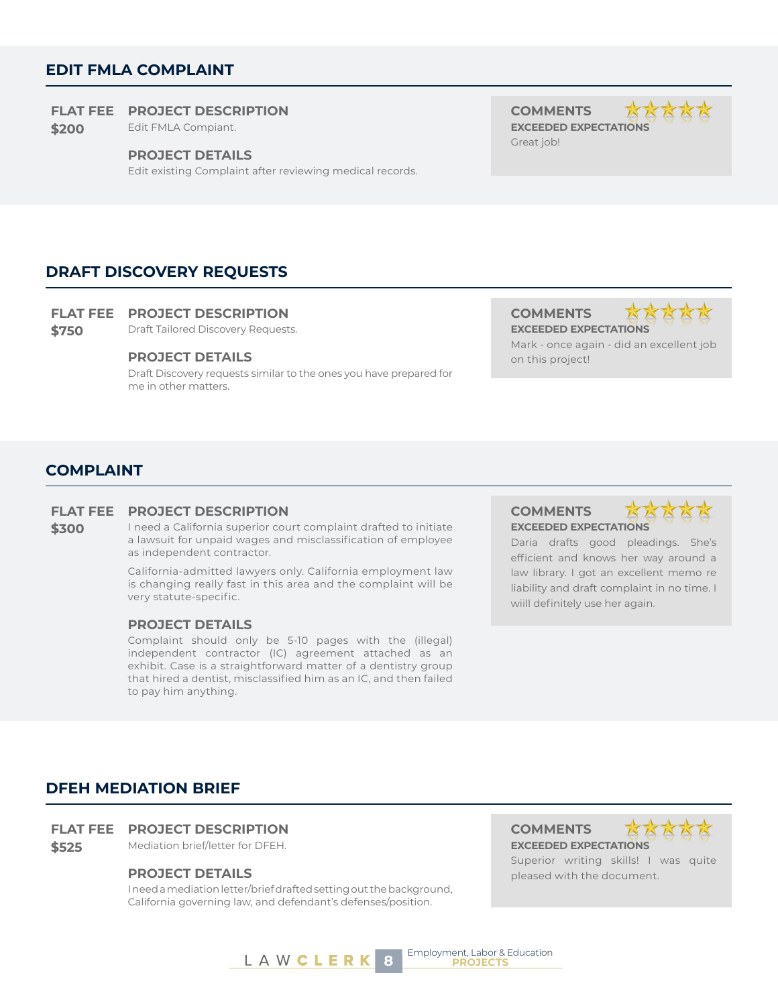### **EDIT FMLA COMPLAINT**

### **FLAT FEE PROJECT DESCRIPTION COMMENTS**

**\$200** Edit FMLA Compiant. **EXCEEDED EXPECTATIONS** 

#### **PROJECT DETAILS**

Edit existing Complaint after reviewing medical records.

Great job!



**DRAFT DISCOVERY REQUESTS**

### **FLAT FEE PROJECT DESCRIPTION COMMENTS**

**\$750** Draft Tailored Discovery Requests. **EXCEEDED EXPECTATIONS** 

### **PROJECT DETAILS** on this project!

Draft Discovery requests similar to the ones you have prepared for me in other matters.



Mark - once again - did an excellent job

### **COMPLAINT**

### **FLAT FEE PROJECT DESCRIPTION COMMENTS**

**\$300** I need a California superior court complaint drafted to initiate a lawsuit for unpaid wages and misclassification of employee as independent contractor.

> California-admitted lawyers only. California employment law is changing really fast in this area and the complaint will be very statute-specific.

### **PROJECT DETAILS**

Complaint should only be 5-10 pages with the (illegal) independent contractor (IC) agreement attached as an exhibit. Case is a straightforward matter of a dentistry group that hired a dentist, misclassified him as an IC, and then failed to pay him anything.

**EXCEEDED EXPECTATIONS**



Daria drafts good pleadings. She's efficient and knows her way around a law library. I got an excellent memo re liability and draft complaint in no time. I wiill definitely use her again.

### **DFEH MEDIATION BRIEF**

### **FLAT FEE PROJECT DESCRIPTION COMMENTS**

**\$525** Mediation brief/letter for DFEH. **EXCEEDED EXPECTATIONS**

I need a mediation letter/brief drafted setting out the background, California governing law, and defendant's defenses/position.



Superior writing skills! I was quite **PROJECT DETAILS pleased with the document.** 

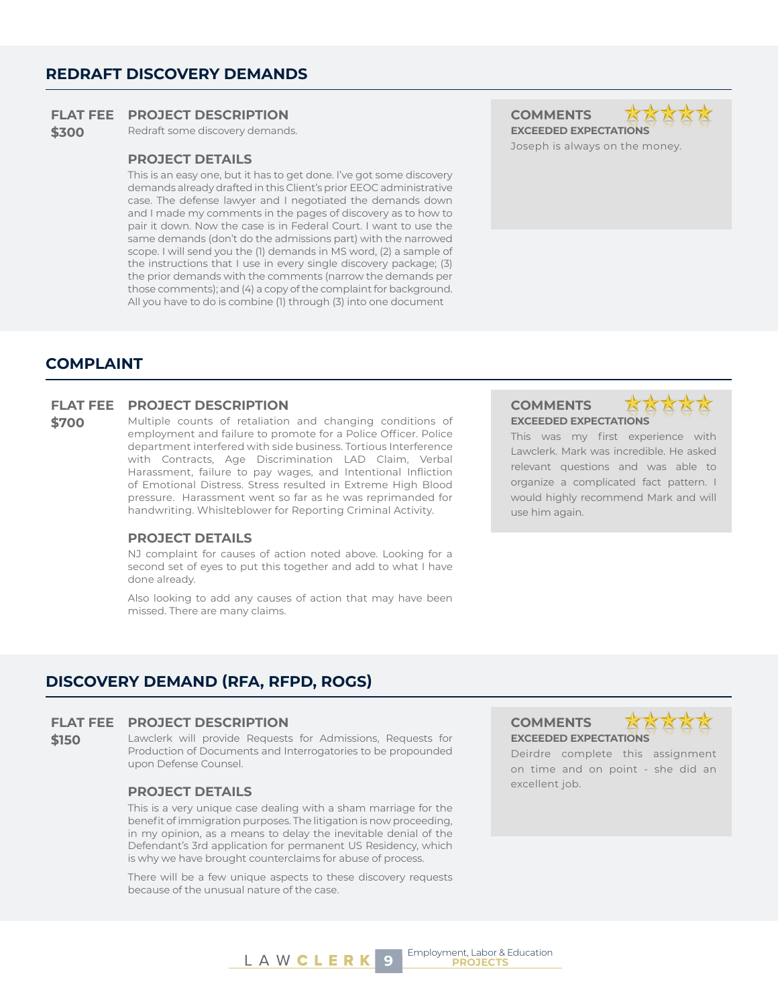### **REDRAFT DISCOVERY DEMANDS**

### **FLAT FEE PROJECT DESCRIPTION COMMENTS**

**\$300** Redraft some discovery demands. **EXCEEDED EXPECTATIONS** 

### **PROJECT DETAILS**

This is an easy one, but it has to get done. I've got some discovery demands already drafted in this Client's prior EEOC administrative case. The defense lawyer and I negotiated the demands down and I made my comments in the pages of discovery as to how to pair it down. Now the case is in Federal Court. I want to use the same demands (don't do the admissions part) with the narrowed scope. I will send you the (1) demands in MS word, (2) a sample of the instructions that I use in every single discovery package; (3) the prior demands with the comments (narrow the demands per those comments); and (4) a copy of the complaint for background. All you have to do is combine (1) through (3) into one document

Joseph is always on the money.

### **COMPLAINT**

### **FLAT FEE PROJECT DESCRIPTION COMMENTS**

**\$700** Multiple counts of retaliation and changing conditions of employment and failure to promote for a Police Officer. Police department interfered with side business. Tortious Interference with Contracts, Age Discrimination LAD Claim, Verbal Harassment, failure to pay wages, and Intentional Infliction of Emotional Distress. Stress resulted in Extreme High Blood pressure. Harassment went so far as he was reprimanded for handwriting. Whislteblower for Reporting Criminal Activity.

### **PROJECT DETAILS**

NJ complaint for causes of action noted above. Looking for a second set of eyes to put this together and add to what I have done already.

Also looking to add any causes of action that may have been missed. There are many claims.

### **EXCEEDED EXPECTATIONS**



This was my first experience with Lawclerk. Mark was incredible. He asked relevant questions and was able to organize a complicated fact pattern. I would highly recommend Mark and will use him again.

### **DISCOVERY DEMAND (RFA, RFPD, ROGS)**

### **FLAT FEE PROJECT DESCRIPTION COMMENTS**

**\$150** Lawclerk will provide Requests for Admissions, Requests for Production of Documents and Interrogatories to be propounded upon Defense Counsel.

### excellent job. **PROJECT DETAILS**

This is a very unique case dealing with a sham marriage for the benefit of immigration purposes. The litigation is now proceeding, in my opinion, as a means to delay the inevitable denial of the Defendant's 3rd application for permanent US Residency, which is why we have brought counterclaims for abuse of process.

There will be a few unique aspects to these discovery requests because of the unusual nature of the case.

### **EXCEEDED EXPECTATIONS**



Deirdre complete this assignment on time and on point - she did an

Employment, Labor & Education **9 PROJECTS**